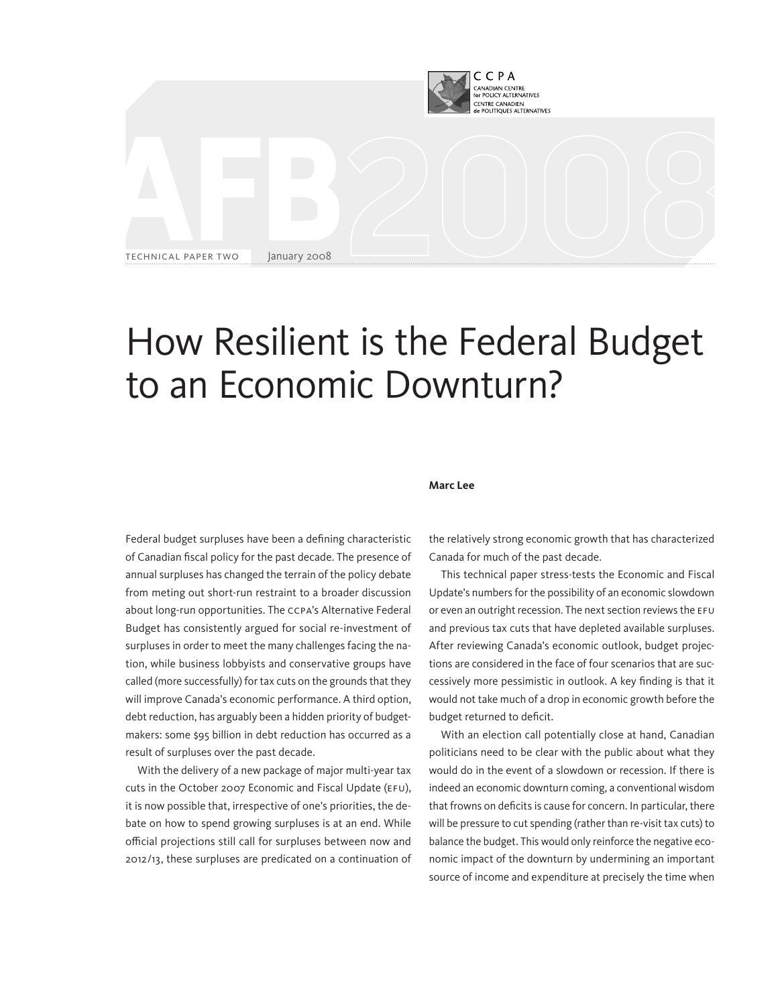

# How Resilient is the Federal Budget to an Economic Downturn?

#### **Marc Lee**

Federal budget surpluses have been a defining characteristic of Canadian fiscal policy for the past decade. The presence of annual surpluses has changed the terrain of the policy debate from meting out short-run restraint to a broader discussion about long-run opportunities. The CCPA's Alternative Federal Budget has consistently argued for social re-investment of surpluses in order to meet the many challenges facing the nation, while business lobbyists and conservative groups have called (more successfully) for tax cuts on the grounds that they will improve Canada's economic performance. A third option, debt reduction, has arguably been a hidden priority of budgetmakers: some \$95 billion in debt reduction has occurred as a result of surpluses over the past decade.

With the delivery of a new package of major multi-year tax cuts in the October 2007 Economic and Fiscal Update (EFU), it is now possible that, irrespective of one's priorities, the debate on how to spend growing surpluses is at an end. While official projections still call for surpluses between now and 2012/13, these surpluses are predicated on a continuation of the relatively strong economic growth that has characterized Canada for much of the past decade.

This technical paper stress-tests the Economic and Fiscal Update's numbers for the possibility of an economic slowdown or even an outright recession. The next section reviews the EFU and previous tax cuts that have depleted available surpluses. After reviewing Canada's economic outlook, budget projections are considered in the face of four scenarios that are successively more pessimistic in outlook. A key finding is that it would not take much of a drop in economic growth before the budget returned to deficit.

With an election call potentially close at hand, Canadian politicians need to be clear with the public about what they would do in the event of a slowdown or recession. If there is indeed an economic downturn coming, a conventional wisdom that frowns on deficits is cause for concern. In particular, there will be pressure to cut spending (rather than re-visit tax cuts) to balance the budget. This would only reinforce the negative economic impact of the downturn by undermining an important source of income and expenditure at precisely the time when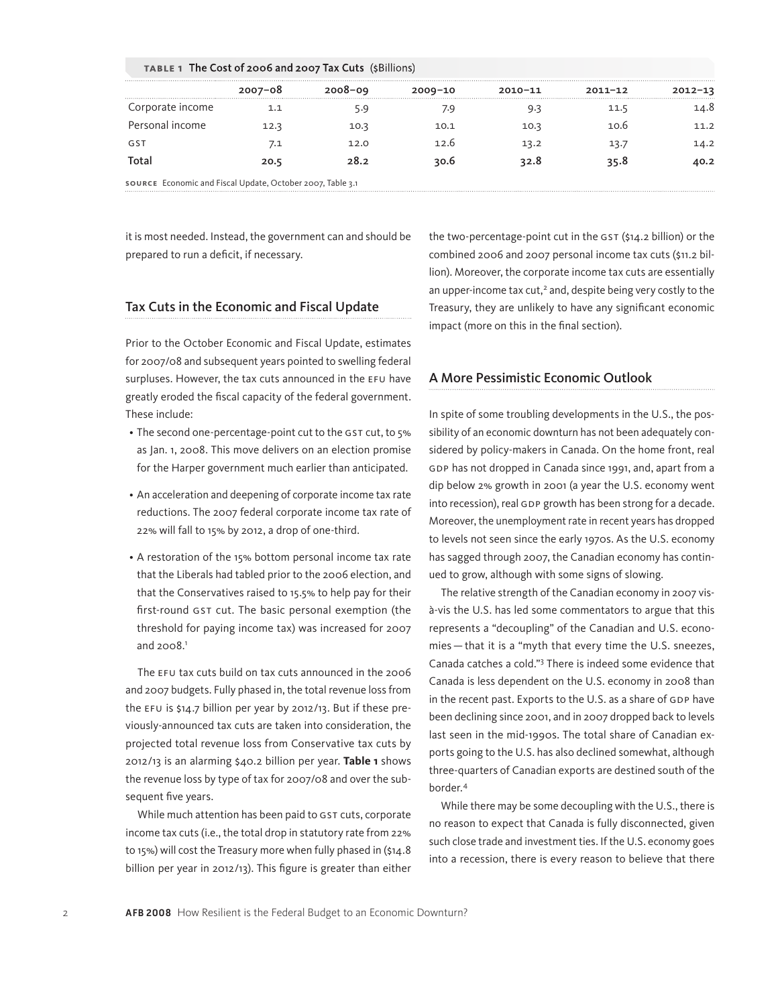|                  | $2007 - 08$ | $2008 - 09$ | $2009 - 10$ | $2010 - 11$ | $2011 - 12$ | 2012-13 |
|------------------|-------------|-------------|-------------|-------------|-------------|---------|
|                  |             |             |             |             |             |         |
| Corporate income |             |             | /۰۹         |             | 11.5        | .4.8    |
| Personal income  | 12.3        | 10.3        | 10.1        | 10.3        | 10.6        | 11.2    |
| GS1              | 7.1         | 12.O        | 12 h        | 13.2        | 13.7        | 14.2    |
| Total            | 20.5        | 28.2        | 30.6        | 32.8        | 35.8        | 40.2    |

**TABLE 1** The Cost of 2006 and 2007 Tax Cuts (\$Billions)

it is most needed. Instead, the government can and should be prepared to run a deficit, if necessary.

# Tax Cuts in the Economic and Fiscal Update

Prior to the October Economic and Fiscal Update, estimates for 2007/08 and subsequent years pointed to swelling federal surpluses. However, the tax cuts announced in the EFU have greatly eroded the fiscal capacity of the federal government. These include:

- The second one-percentage-point cut to the GST cut, to 5% as Jan. 1, 2008. This move delivers on an election promise for the Harper government much earlier than anticipated.
- An acceleration and deepening of corporate income tax rate reductions. The 2007 federal corporate income tax rate of 22% will fall to 15% by 2012, a drop of one-third.
- A restoration of the 15% bottom personal income tax rate that the Liberals had tabled prior to the 2006 election, and that the Conservatives raised to 15.5% to help pay for their first-round GST cut. The basic personal exemption (the threshold for paying income tax) was increased for 2007 and  $2008.<sup>1</sup>$

The EFU tax cuts build on tax cuts announced in the 2006 and 2007 budgets. Fully phased in, the total revenue loss from the EFU is \$14.7 billion per year by 2012/13. But if these previously-announced tax cuts are taken into consideration, the projected total revenue loss from Conservative tax cuts by 2012/13 is an alarming \$40.2 billion per year. **Table 1** shows the revenue loss by type of tax for 2007/08 and over the subsequent five years.

While much attention has been paid to GST cuts, corporate income tax cuts (i.e., the total drop in statutory rate from 22% to 15%) will cost the Treasury more when fully phased in (\$14.8 billion per year in 2012/13). This figure is greater than either the two-percentage-point cut in the GST (\$14.2 billion) or the combined 2006 and 2007 personal income tax cuts (\$11.2 billion). Moreover, the corporate income tax cuts are essentially an upper-income tax cut,<sup>2</sup> and, despite being very costly to the Treasury, they are unlikely to have any significant economic impact (more on this in the final section).

## A More Pessimistic Economic Outlook

In spite of some troubling developments in the U.S., the possibility of an economic downturn has not been adequately considered by policy-makers in Canada. On the home front, real GDP has not dropped in Canada since 1991, and, apart from a dip below 2% growth in 2001 (a year the U.S. economy went into recession), real GDP growth has been strong for a decade. Moreover, the unemployment rate in recent years has dropped to levels not seen since the early 1970s. As the U.S. economy has sagged through 2007, the Canadian economy has continued to grow, although with some signs of slowing.

The relative strength of the Canadian economy in 2007 visà-vis the U.S. has led some commentators to argue that this represents a "decoupling" of the Canadian and U.S. economies — that it is a "myth that every time the U.S. sneezes, Canada catches a cold."<sup>3</sup> There is indeed some evidence that Canada is less dependent on the U.S. economy in 2008 than in the recent past. Exports to the U.S. as a share of GDP have been declining since 2001, and in 2007 dropped back to levels last seen in the mid-1990s. The total share of Canadian exports going to the U.S. has also declined somewhat, although three-quarters of Canadian exports are destined south of the border.<sup>4</sup>

While there may be some decoupling with the U.S., there is no reason to expect that Canada is fully disconnected, given such close trade and investment ties. If the U.S. economy goes into a recession, there is every reason to believe that there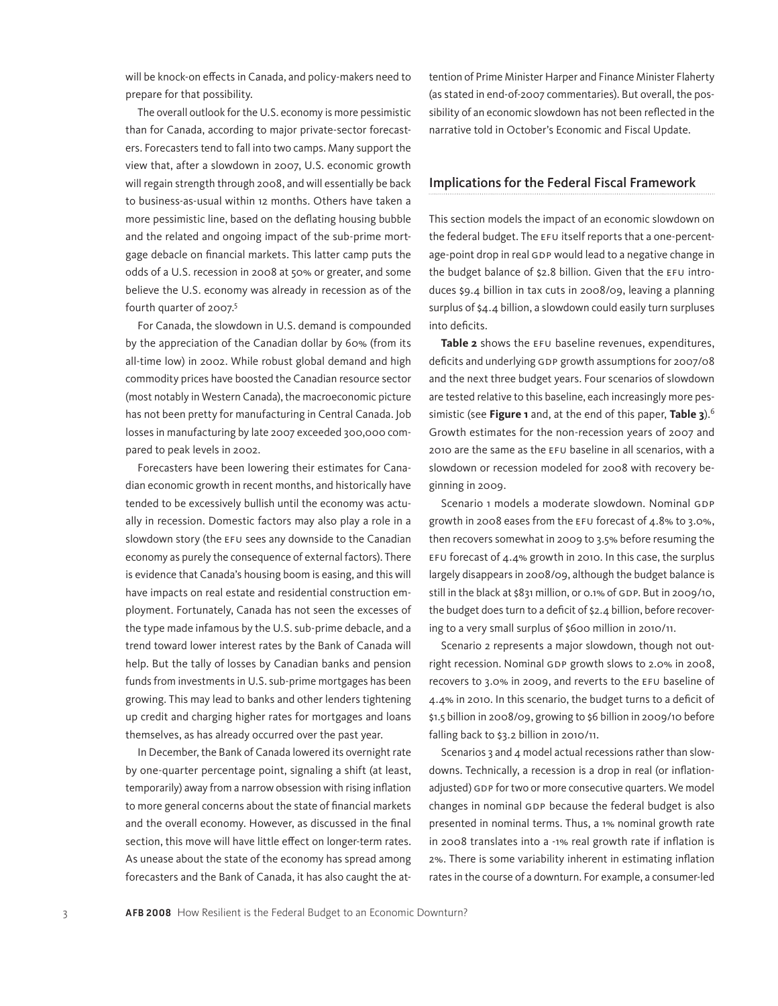will be knock-on effects in Canada, and policy-makers need to prepare for that possibility.

The overall outlook for the U.S. economy is more pessimistic than for Canada, according to major private-sector forecasters. Forecasters tend to fall into two camps. Many support the view that, after a slowdown in 2007, U.S. economic growth will regain strength through 2008, and will essentially be back to business-as-usual within 12 months. Others have taken a more pessimistic line, based on the deflating housing bubble and the related and ongoing impact of the sub-prime mortgage debacle on financial markets. This latter camp puts the odds of a U.S. recession in 2008 at 50% or greater, and some believe the U.S. economy was already in recession as of the fourth quarter of 2007.5

For Canada, the slowdown in U.S. demand is compounded by the appreciation of the Canadian dollar by 60% (from its all-time low) in 2002. While robust global demand and high commodity prices have boosted the Canadian resource sector (most notably in Western Canada), the macroeconomic picture has not been pretty for manufacturing in Central Canada. Job losses in manufacturing by late 2007 exceeded 300,000 compared to peak levels in 2002.

Forecasters have been lowering their estimates for Canadian economic growth in recent months, and historically have tended to be excessively bullish until the economy was actually in recession. Domestic factors may also play a role in a slowdown story (the EFU sees any downside to the Canadian economy as purely the consequence of external factors). There is evidence that Canada's housing boom is easing, and this will have impacts on real estate and residential construction employment. Fortunately, Canada has not seen the excesses of the type made infamous by the U.S. sub-prime debacle, and a trend toward lower interest rates by the Bank of Canada will help. But the tally of losses by Canadian banks and pension funds from investments in U.S. sub-prime mortgages has been growing. This may lead to banks and other lenders tightening up credit and charging higher rates for mortgages and loans themselves, as has already occurred over the past year.

In December, the Bank of Canada lowered its overnight rate by one-quarter percentage point, signaling a shift (at least, temporarily) away from a narrow obsession with rising inflation to more general concerns about the state of financial markets and the overall economy. However, as discussed in the final section, this move will have little effect on longer-term rates. As unease about the state of the economy has spread among forecasters and the Bank of Canada, it has also caught the attention of Prime Minister Harper and Finance Minister Flaherty (as stated in end-of-2007 commentaries). But overall, the possibility of an economic slowdown has not been reflected in the narrative told in October's Economic and Fiscal Update.

## Implications for the Federal Fiscal Framework

This section models the impact of an economic slowdown on the federal budget. The EFU itself reports that a one-percentage-point drop in real GDP would lead to a negative change in the budget balance of \$2.8 billion. Given that the EFU introduces \$9.4 billion in tax cuts in 2008/09, leaving a planning surplus of \$4.4 billion, a slowdown could easily turn surpluses into deficits.

**Table 2** shows the EFU baseline revenues, expenditures, deficits and underlying GDP growth assumptions for 2007/08 and the next three budget years. Four scenarios of slowdown are tested relative to this baseline, each increasingly more pessimistic (see **Figure 1** and, at the end of this paper, **Table 3**).<sup>6</sup> Growth estimates for the non-recession years of 2007 and 2010 are the same as the EFU baseline in all scenarios, with a slowdown or recession modeled for 2008 with recovery beginning in 2009.

Scenario 1 models a moderate slowdown. Nominal GDP growth in 2008 eases from the EFU forecast of 4.8% to 3.0%, then recovers somewhat in 2009 to 3.5% before resuming the EFU forecast of 4.4% growth in 2010. In this case, the surplus largely disappears in 2008/09, although the budget balance is still in the black at \$831 million, or 0.1% of GDP. But in 2009/10, the budget does turn to a deficit of \$2.4 billion, before recovering to a very small surplus of \$600 million in 2010/11.

Scenario 2 represents a major slowdown, though not outright recession. Nominal GDP growth slows to 2.0% in 2008, recovers to 3.0% in 2009, and reverts to the EFU baseline of 4.4% in 2010. In this scenario, the budget turns to a deficit of \$1.5 billion in 2008/09, growing to \$6 billion in 2009/10 before falling back to \$3.2 billion in 2010/11.

Scenarios 3 and 4 model actual recessions rather than slowdowns. Technically, a recession is a drop in real (or inflationadjusted) GDP for two or more consecutive quarters. We model changes in nominal GDP because the federal budget is also presented in nominal terms. Thus, a 1% nominal growth rate in 2008 translates into a -1% real growth rate if inflation is 2%. There is some variability inherent in estimating inflation rates in the course of a downturn. For example, a consumer-led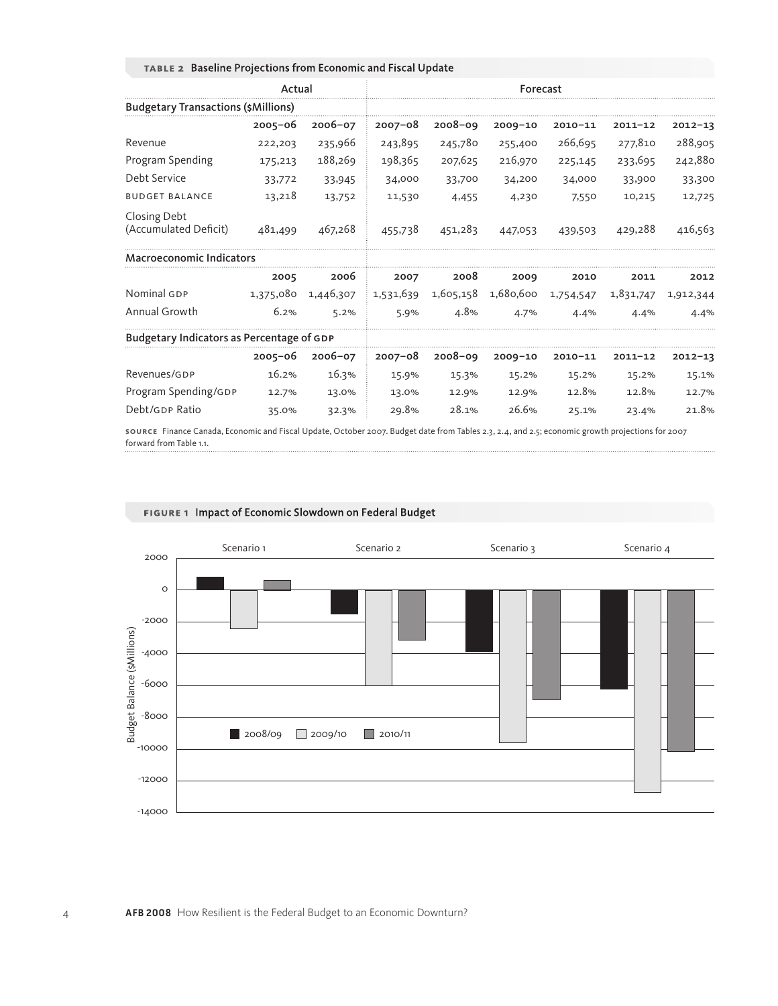|                                            | Actual      |             |             |             |             |             |             |             |
|--------------------------------------------|-------------|-------------|-------------|-------------|-------------|-------------|-------------|-------------|
| <b>Budgetary Transactions (\$Millions)</b> |             |             |             |             |             |             |             |             |
|                                            | $2005 - 06$ | $2006 - 07$ | $2007 - 08$ | $2008 - 09$ | $2009 - 10$ | $2010 - 11$ | $2011 - 12$ | $2012 - 13$ |
| Revenue                                    | 222,203     | 235,966     | 243,895     | 245,780     | 255,400     | 266,695     | 277,810     | 288,905     |
| Program Spending                           | 175,213     | 188,269     | 198,365     | 207,625     | 216,970     | 225,145     | 233,695     | 242,880     |
| Debt Service                               | 33,772      | 33,945      | 34,000      | 33,700      | 34,200      | 34,000      | 33,900      | 33,300      |
| <b>BUDGET BALANCE</b>                      | 13,218      | 13,752      | 11,530      | 4,455       | 4,230       | 7,550       | 10,215      | 12,725      |
| Closing Debt<br>(Accumulated Deficit)      | 481,499     | 467,268     | 455,738     | 451,283     | 447,053     | 439,503     | 429,288     | 416,563     |
| <b>Macroeconomic Indicators</b>            |             |             |             |             |             |             |             |             |
|                                            | 2005        | 2006        | 2007        | 2008        | 2009        | 2010        | 2011        | 2012        |
| Nominal GDP                                | 1,375,080   | 1,446,307   | 1,531,639   | 1,605,158   | 1,680,600   | 1,754,547   | 1,831,747   | 1,912,344   |
| Annual Growth                              | 6.2%        | 5.2%        | 5.9%        | 4.8%        | 4.7%        | 4.4%        | 4.4%        | 4.4%        |
| Budgetary Indicators as Percentage of GDP  |             |             |             |             |             |             |             |             |
|                                            | $2005 - 06$ | $2006 - 07$ | $2007 - 08$ | $2008 - 09$ | $2009 - 10$ | $2010 - 11$ | $2011 - 12$ | $2012 - 13$ |
| Revenues/GDP                               | 16.2%       | 16.3%       | 15.9%       | 15.3%       | 15.2%       | 15.2%       | 15.2%       | 15.1%       |
| Program Spending/GDP                       | 12.7%       | 13.0%       | 13.0%       | 12.9%       | 12.9%       | 12.8%       | 12.8%       | 12.7%       |
| Debt/GDP Ratio                             | 35.0%       | 32.3%       | 29.8%       | 28.1%       | 26.6%       | 25.1%       | 23.4%       | 21.8%       |

# **TABLE 2** Baseline Projections from Economic and Fiscal Update

**SOURCE** Finance Canada, Economic and Fiscal Update, October 2007. Budget date from Tables 2.3, 2.4, and 2.5; economic growth projections for 2007 forward from Table 1.1.



## **FIGURE 1** Impact of Economic Slowdown on Federal Budget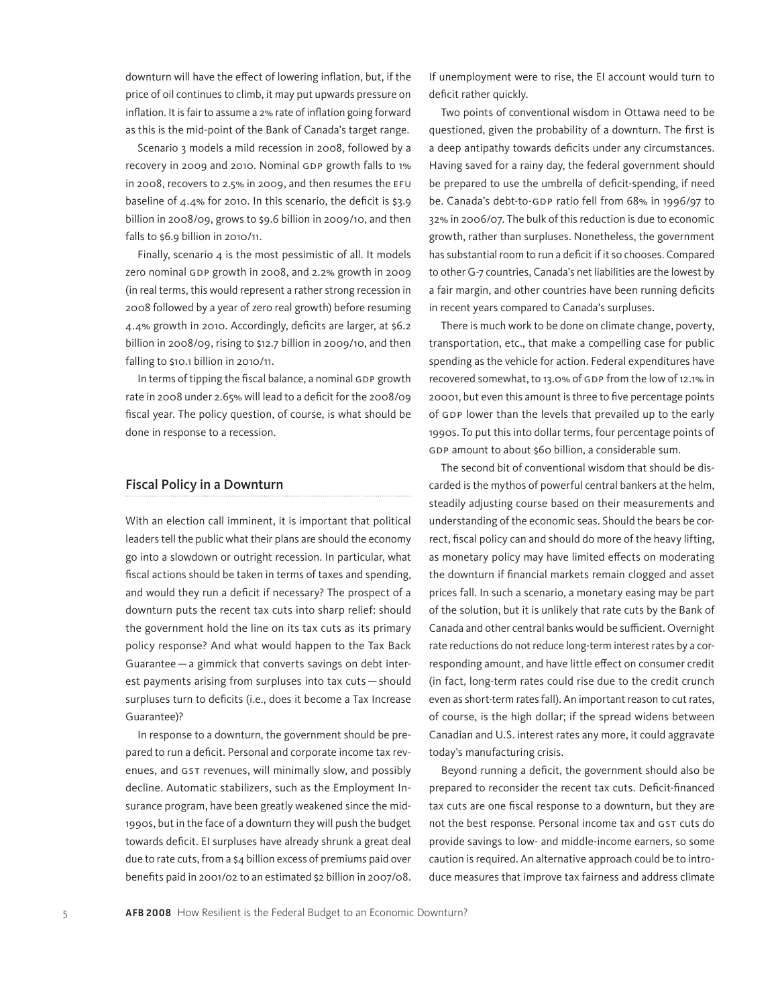downturn will have the effect of lowering inflation, but, if the price of oil continues to climb, it may put upwards pressure on inflation. It is fair to assume a 2% rate of inflation going forward as this is the mid-point of the Bank of Canada's target range.

Scenario 3 models a mild recession in 2008, followed by a recovery in 2009 and 2010. Nominal GDP growth falls to 1% in 2008, recovers to 2.5% in 2009, and then resumes the EFU baseline of 4.4% for 2010. In this scenario, the deficit is \$3.9 billion in 2008/09, grows to \$9.6 billion in 2009/10, and then falls to \$6.9 billion in 2010/11.

Finally, scenario  $4$  is the most pessimistic of all. It models zero nominal GDP growth in 2008, and 2.2% growth in 2009 (in real terms, this would represent a rather strong recession in 2008 followed by a year of zero real growth) before resuming 4.4% growth in 2010. Accordingly, deficits are larger, at \$6.2 billion in 2008/09, rising to \$12.7 billion in 2009/10, and then falling to \$10.1 billion in 2010/11.

In terms of tipping the fiscal balance, a nominal GDP growth rate in 2008 under 2.65% will lead to a deficit for the 2008/09 fiscal year. The policy question, of course, is what should be done in response to a recession.

### Fiscal Policy in a Downturn

With an election call imminent, it is important that political leaders tell the public what their plans are should the economy go into a slowdown or outright recession. In particular, what fiscal actions should be taken in terms of taxes and spending, and would they run a deficit if necessary? The prospect of a downturn puts the recent tax cuts into sharp relief: should the government hold the line on its tax cuts as its primary policy response? And what would happen to the Tax Back Guarantee—a gimmick that converts savings on debt interest payments arising from surpluses into tax cuts—should surpluses turn to deficits (i.e., does it become a Tax Increase Guarantee)?

In response to a downturn, the government should be prepared to run a deficit. Personal and corporate income tax revenues, and GST revenues, will minimally slow, and possibly decline. Automatic stabilizers, such as the Employment Insurance program, have been greatly weakened since the mid-1990s, but in the face of a downturn they will push the budget towards deficit. EI surpluses have already shrunk a great deal due to rate cuts, from a \$4 billion excess of premiums paid over benefits paid in 2001/02 to an estimated \$2 billion in 2007/08. If unemployment were to rise, the EI account would turn to deficit rather quickly.

Two points of conventional wisdom in Ottawa need to be questioned, given the probability of a downturn. The first is a deep antipathy towards deficits under any circumstances. Having saved for a rainy day, the federal government should be prepared to use the umbrella of deficit-spending, if need be. Canada's debt-to-GDP ratio fell from 68% in 1996/97 to 32% in 2006/07. The bulk of this reduction is due to economic growth, rather than surpluses. Nonetheless, the government has substantial room to run a deficit if it so chooses. Compared to other G-7 countries, Canada's net liabilities are the lowest by a fair margin, and other countries have been running deficits in recent years compared to Canada's surpluses.

There is much work to be done on climate change, poverty, transportation, etc., that make a compelling case for public spending as the vehicle for action. Federal expenditures have recovered somewhat, to 13.0% of GDP from the low of 12.1% in 20001, but even this amount is three to five percentage points of GDP lower than the levels that prevailed up to the early 1990s. To put this into dollar terms, four percentage points of GDP amount to about \$60 billion, a considerable sum.

The second bit of conventional wisdom that should be discarded is the mythos of powerful central bankers at the helm, steadily adjusting course based on their measurements and understanding of the economic seas. Should the bears be correct, fiscal policy can and should do more of the heavy lifting, as monetary policy may have limited effects on moderating the downturn if financial markets remain clogged and asset prices fall. In such a scenario, a monetary easing may be part of the solution, but it is unlikely that rate cuts by the Bank of Canada and other central banks would be sufficient. Overnight rate reductions do not reduce long-term interest rates by a corresponding amount, and have little effect on consumer credit (in fact, long-term rates could rise due to the credit crunch even as short-term rates fall). An important reason to cut rates, of course, is the high dollar; if the spread widens between Canadian and U.S. interest rates any more, it could aggravate today's manufacturing crisis.

Beyond running a deficit, the government should also be prepared to reconsider the recent tax cuts. Deficit-financed tax cuts are one fiscal response to a downturn, but they are not the best response. Personal income tax and GST cuts do provide savings to low- and middle-income earners, so some caution is required. An alternative approach could be to introduce measures that improve tax fairness and address climate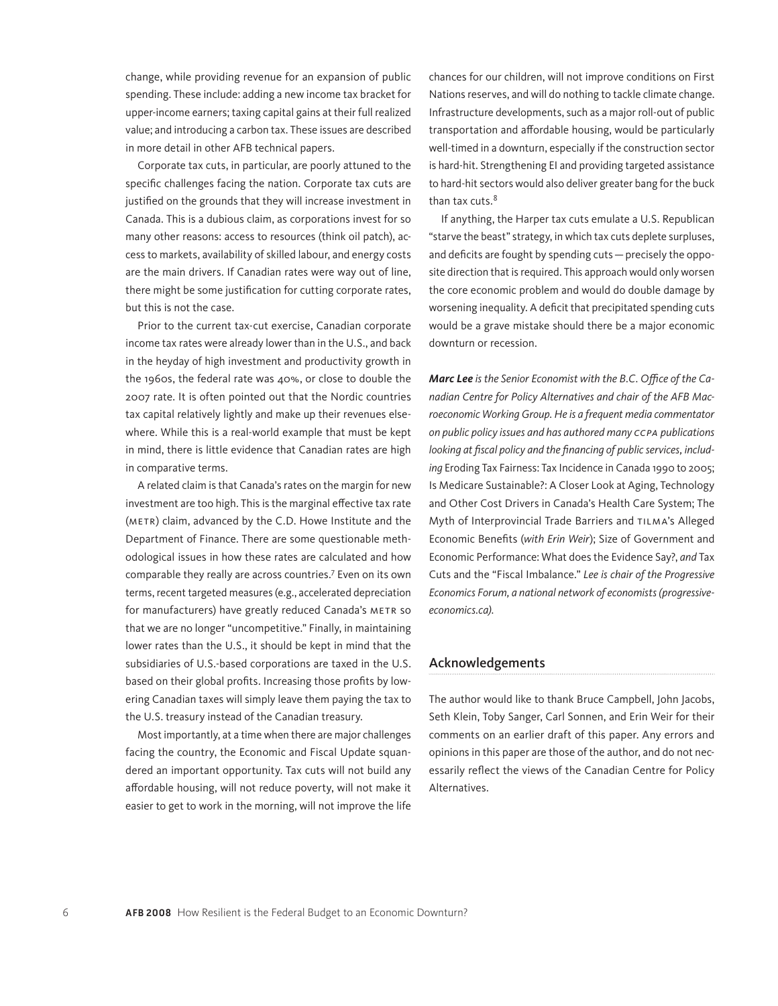change, while providing revenue for an expansion of public spending. These include: adding a new income tax bracket for upper-income earners; taxing capital gains at their full realized value; and introducing a carbon tax. These issues are described in more detail in other AFB technical papers.

Corporate tax cuts, in particular, are poorly attuned to the specific challenges facing the nation. Corporate tax cuts are justified on the grounds that they will increase investment in Canada. This is a dubious claim, as corporations invest for so many other reasons: access to resources (think oil patch), access to markets, availability of skilled labour, and energy costs are the main drivers. If Canadian rates were way out of line, there might be some justification for cutting corporate rates, but this is not the case.

Prior to the current tax-cut exercise, Canadian corporate income tax rates were already lower than in the U.S., and back in the heyday of high investment and productivity growth in the 1960s, the federal rate was 40%, or close to double the 2007 rate. It is often pointed out that the Nordic countries tax capital relatively lightly and make up their revenues elsewhere. While this is a real-world example that must be kept in mind, there is little evidence that Canadian rates are high in comparative terms.

A related claim is that Canada's rates on the margin for new investment are too high. This is the marginal effective tax rate (METR) claim, advanced by the C.D. Howe Institute and the Department of Finance. There are some questionable methodological issues in how these rates are calculated and how comparable they really are across countries.7 Even on its own terms, recent targeted measures (e.g., accelerated depreciation for manufacturers) have greatly reduced Canada's METR so that we are no longer "uncompetitive." Finally, in maintaining lower rates than the U.S., it should be kept in mind that the subsidiaries of U.S.-based corporations are taxed in the U.S. based on their global profits. Increasing those profits by lowering Canadian taxes will simply leave them paying the tax to the U.S. treasury instead of the Canadian treasury.

Most importantly, at a time when there are major challenges facing the country, the Economic and Fiscal Update squandered an important opportunity. Tax cuts will not build any affordable housing, will not reduce poverty, will not make it easier to get to work in the morning, will not improve the life chances for our children, will not improve conditions on First Nations reserves, and will do nothing to tackle climate change. Infrastructure developments, such as a major roll-out of public transportation and affordable housing, would be particularly well-timed in a downturn, especially if the construction sector is hard-hit. Strengthening EI and providing targeted assistance to hard-hit sectors would also deliver greater bang for the buck than tax cuts.<sup>8</sup>

If anything, the Harper tax cuts emulate a U.S. Republican "starve the beast" strategy, in which tax cuts deplete surpluses, and deficits are fought by spending cuts—precisely the opposite direction that is required. This approach would only worsen the core economic problem and would do double damage by worsening inequality. A deficit that precipitated spending cuts would be a grave mistake should there be a major economic downturn or recession.

*Marc Lee is the Senior Economist with the B.C. Office of the Canadian Centre for Policy Alternatives and chair of the AFB Macroeconomic Working Group. He is a frequent media commentator on public policy issues and has authored many CCPA publications looking at fiscal policy and the financing of public services, including* Eroding Tax Fairness: Tax Incidence in Canada 1990 to 2005; Is Medicare Sustainable?: A Closer Look at Aging, Technology and Other Cost Drivers in Canada's Health Care System; The Myth of Interprovincial Trade Barriers and TILMA's Alleged Economic Benefits (*with Erin Weir*); Size of Government and Economic Performance: What does the Evidence Say?, *and* Tax Cuts and the "Fiscal Imbalance." *Lee is chair of the Progressive Economics Forum, a national network of economists (progressiveeconomics.ca).*

# Acknowledgements

The author would like to thank Bruce Campbell, John Jacobs, Seth Klein, Toby Sanger, Carl Sonnen, and Erin Weir for their comments on an earlier draft of this paper. Any errors and opinions in this paper are those of the author, and do not necessarily reflect the views of the Canadian Centre for Policy Alternatives.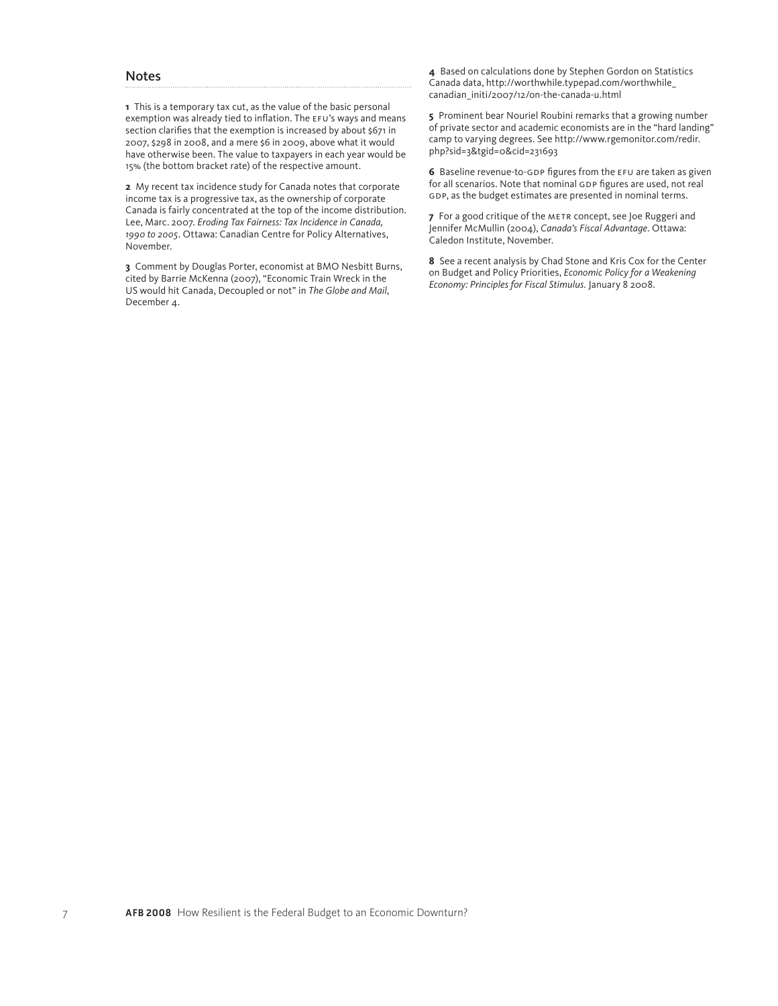#### Notes

**1** This is a temporary tax cut, as the value of the basic personal exemption was already tied to inflation. The EFU's ways and means section clarifies that the exemption is increased by about \$671 in 2007, \$298 in 2008, and a mere \$6 in 2009, above what it would have otherwise been. The value to taxpayers in each year would be 15% (the bottom bracket rate) of the respective amount.

**2** My recent tax incidence study for Canada notes that corporate income tax is a progressive tax, as the ownership of corporate Canada is fairly concentrated at the top of the income distribution. Lee, Marc. 2007. *Eroding Tax Fairness: Tax Incidence in Canada, 1990 to 2005*. Ottawa: Canadian Centre for Policy Alternatives, November.

**3** Comment by Douglas Porter, economist at BMO Nesbitt Burns, cited by Barrie McKenna (2007), "Economic Train Wreck in the US would hit Canada, Decoupled or not" in *The Globe and Mail*, December 4.

**4** Based on calculations done by Stephen Gordon on Statistics Canada data, http://worthwhile.typepad.com/worthwhile\_ canadian\_initi/2007/12/on-the-canada-u.html

**5** Prominent bear Nouriel Roubini remarks that a growing number of private sector and academic economists are in the "hard landing" camp to varying degrees. See http://www.rgemonitor.com/redir. php?sid=3&tgid=0&cid=231693

**6** Baseline revenue-to-GDP figures from the EFU are taken as given for all scenarios. Note that nominal GDP figures are used, not real GDP, as the budget estimates are presented in nominal terms.

**7** For a good critique of the METR concept, see Joe Ruggeri and Jennifer McMullin (2004), *Canada's Fiscal Advantage*. Ottawa: Caledon Institute, November.

**8** See a recent analysis by Chad Stone and Kris Cox for the Center on Budget and Policy Priorities, *Economic Policy for a Weakening Economy: Principles for Fiscal Stimulus.* January 8 2008.